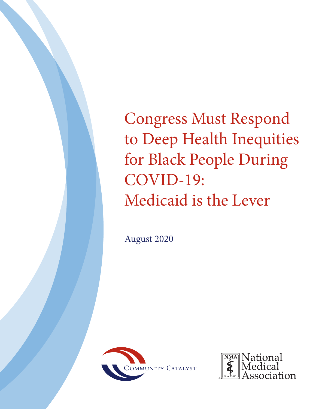Congress Must Respond to Deep Health Inequities for Black People During COVID-19: Medicaid is the Lever

August 2020



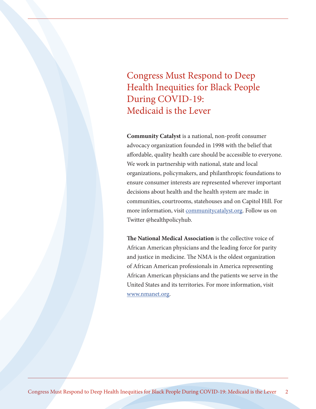Congress Must Respond to Deep Health Inequities for Black People During COVID-19: Medicaid is the Lever

**Community Catalyst** is a national, non-profit consumer advocacy organization founded in 1998 with the belief that affordable, quality health care should be accessible to everyone. We work in partnership with national, state and local organizations, policymakers, and philanthropic foundations to ensure consumer interests are represented wherever important decisions about health and the health system are made: in communities, courtrooms, statehouses and on Capitol Hill. For more information, visit [communitycatalyst.org.](http://www.communitycatalyst.org) Follow us on Twitter @healthpolicyhub.

**The National Medical Association** is the collective voice of African American physicians and the leading force for parity and justice in medicine. The NMA is the oldest organization of African American professionals in America representing African American physicians and the patients we serve in the United States and its territories. For more information, visit [www.nmanet.org](http://www.nmanet.org).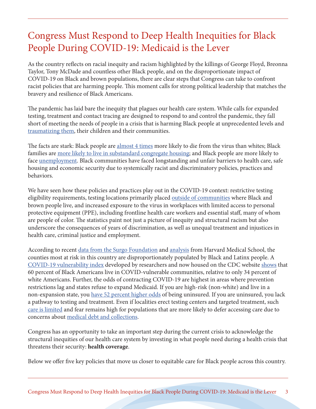# Congress Must Respond to Deep Health Inequities for Black People During COVID-19: Medicaid is the Lever

As the country reflects on racial inequity and racism highlighted by the killings of George Floyd, Breonna Taylor, Tony McDade and countless other Black people, and on the disproportionate impact of COVID-19 on Black and brown populations, there are clear steps that Congress can take to confront racist policies that are harming people. This moment calls for strong political leadership that matches the bravery and resilience of Black Americans.

The pandemic has laid bare the inequity that plagues our health care system. While calls for expanded testing, treatment and contact tracing are designed to respond to and control the pandemic, they fall short of meeting the needs of people in a crisis that is harming Black people at unprecedented levels and [traumatizing them](https://www.vox.com/first-person/2020/5/28/21272380/black-mothers-grief-sadness-covid-19), their children and their communities.

The facts are stark: Black people are [almost 4 times](https://www.apmresearchlab.org/covid/deaths-by-race) more likely to die from the virus than whites; Black families are [more likely to live in substandard congregate housing;](https://www.brookings.edu/research/time-for-justice-tackling-race-inequalities-in-health-and-housing/) and Black people are more likely to face [unemployment.](https://www.cnbc.com/2020/06/05/coronavirus-recovery-black-workers-are-being-left-out-data-shows.html) Black communities have faced longstanding and unfair barriers to health care, safe housing and economic security due to systemically racist and discriminatory policies, practices and behaviors.

We have seen how these policies and practices play out in the COVID-19 context: restrictive testing eligibility requirements, testing locations primarily placed [outside of communities](http://www.stlamerican.com/news/local_news/black-st-louis-left-behind-in-covid-19-testing-supplies/article_c70a05f4-7451-11ea-8571-832f999891aa.html?fbclid=IwAR09sWykLkp-_ZIatg4lrNhWdB-0zv82dvfmDwkzdhLW6nhcyJzPiX8ngw4) where Black and brown people live, and increased exposure to the virus in workplaces with limited access to personal protective equipment (PPE), including frontline health care workers and essential staff, many of whom are people of color. The statistics paint not just a picture of inequity and structural racism but also underscore the consequences of years of discrimination, as well as unequal treatment and injustices in health care, criminal justice and employment.

According to recent [data from the Surgo Foundation](https://ssir.org/articles/entry/fighting_covid_19s_disproportionate_impact_on_black_communities_with_more_precise_data) and [analysis](https://link.springer.com/article/10.1007/s11606-020-05899-8) from Harvard Medical School, the counties most at risk in this country are disproportionately populated by Black and Latinx people. A [COVID-19 vulnerability index](https://precisionforcovid.org/ccvi) developed by researchers and now housed on the CDC website [shows](https://ssir.org/articles/entry/fighting_covid_19s_disproportionate_impact_on_black_communities_with_more_precise_data) that 60 percent of Black Americans live in COVID-vulnerable communities, relative to only 34 percent of white Americans. Further, the odds of contracting COVID-19 are highest in areas where prevention restrictions lag and states refuse to expand Medicaid. If you are high-risk (non-white) and live in a non-expansion state, you [have 52 percent higher odds](https://link.springer.com/article/10.1007/s11606-020-05899-8) of being uninsured. If you are uninsured, you lack a pathway to testing and treatment. Even if localities erect testing centers and targeted treatment, such [care is limited](https://www.npr.org/sections/health-shots/2020/05/27/862215848/across-texas-black-and-hispanic-neighborhoods-have-fewer-coronavirus-testing-sit) and fear remains high for populations that are more likely to defer accessing care due to concerns about [medical debt and collections](https://www.communitycatalyst.org/resources/2020-covid/Strengthen-Response-Med-Debt_FINAL.pdf).

Congress has an opportunity to take an important step during the current crisis to acknowledge the structural inequities of our health care system by investing in what people need during a health crisis that threatens their security: **health coverage**.

Below we offer five key policies that move us closer to equitable care for Black people across this country.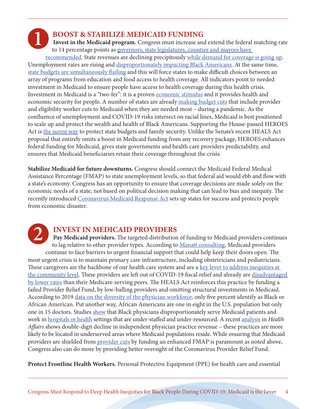**1**

#### **BOOST & STABILIZE MEDICAID FUNDING**

**Invest in the Medicaid program.** Congress must increase and extend the federal matching rate to 14 percentage points as [governors, state legislatures, counties and mayors have](https://www.nga.org/news/press-releases/state-local-governments-urge-enhanced-federal-health-care-match-during-covid-19-pandemic/) 

[recommended](https://www.nga.org/news/press-releases/state-local-governments-urge-enhanced-federal-health-care-match-during-covid-19-pandemic/). State revenues are declining precipitously [while demand for coverage is going up.](https://www.cbpp.org/research/health/with-need-rising-medicaid-is-at-risk-for-cuts) Unemployment rates are rising and [disproportionately impacting Black Americans](https://www.vox.com/policy-and-politics/2020/6/6/21282611/black-workers-left-behind-unemployment). At the same time, [state budgets are simultaneously flailing](https://www.shvs.org/an-early-look-at-state-budget-actions-in-response-to-covid-19-and-the-impact-on-state-health-programs/) and this will force states to make difficult choices between an array of programs from education and food access to health coverage. All indicators point to needed investment in Medicaid to ensure people have access to health coverage during this health crisis. Investment in Medicaid is a "two-fer": it is a proven [economic stimulus](https://www.aeaweb.org/articles?id=10.1257/pol.4.3.251) and it provides health and economic security for people. A number of states are already [making budget cuts](https://www.cbpp.org/research/health/with-need-rising-medicaid-is-at-risk-for-cuts) that include provider and eligibility worker cuts to Medicaid when they are needed most – during a pandemic. As the confluence of unemployment and COVID-19 risks intersect on racial lines, Medicaid is best positioned to scale up and protect the wealth and health of Black Americans. Supporting the House-passed HEROES Act is [the surest way](https://www.communitycatalyst.org/resources/2020-covid/Strengthen-Response-Medicaid-FINAL.pdf) to protect state budgets and family security. Unlike the Senate's recent HEALS Act proposal that entirely omits a boost in Medicaid funding from any recovery package, HEROES enhances federal funding for Medicaid, gives state governments and health care providers predictability, and ensures that Medicaid beneficiaries retain their coverage throughout the crisis.

**Stabilize Medicaid for future downturns.** Congress should connect the Medicaid Federal Medical Assistance Percentage (FMAP) to state unemployment levels, so that federal aid would ebb and flow with a state's economy. Congress has an opportunity to ensure that coverage decisions are made solely on the economic needs of a state, not based on political decision making that can lead to bias and inequity. The recently introduced [Coronavirus Medicaid Response Act](https://www.aging.senate.gov/imo/media/doc/Coronavirus%20Medicaid%20Response%20Act%20One%20Pager.pdf) sets up states for success and protects people from economic disaster.

**2**

## **INVEST IN MEDICAID PROVIDERS**

**Pay Medicaid providers.** The targeted distribution of funding to Medicaid providers continues to lag relative to other provider types. According to [Manatt consulting](https://www.natlawreview.com/article/hhs-announces-funding-distributions-to-medicaid-providers-and-safety-net-hospitals), Medicaid providers continue to face barriers to urgent financial support that could help keep their doors open. The most urgent crisis is to maintain primary care infrastructure, including obstetricians and pediatricians. These caregivers are the backbone of our health care system and are a key lever to address inequities at [the community level](https://www.communitycatalyst.org/blog/how-can-medicaid-transformation-steer-toward-health-equity-a-look-at-the-evidence#.XyMpEx17nSx). These providers are left out of COVID-19 fiscal relief and already are [disadvantaged](https://www.aafp.org/news/government-medicine/20200701medicaidparity.html)  [by lower rates](https://www.aafp.org/news/government-medicine/20200701medicaidparity.html) than their Medicare-serving peers. The HEALS Act reinforces this practice by funding a failed Provider Relief Fund, by low-balling providers and omitting structural investments in Medicaid. According to 2019 [data on the diversity of the physician workforce,](https://www.aamc.org/data-reports/workforce/interactive-data/figure-18-percentage-all-active-physicians-race/ethnicity-2018) only five percent identify as Black or African American. Put another way, African Americans are one in eight in the U.S. population but only one in 15 doctors. Studies [show](https://www.ncbi.nlm.nih.gov/pmc/articles/PMC5871929/) that Black physicians disproportionately serve Medicaid patients and work in [hospitals or health](https://hbr.org/2020/05/the-disproportionate-impact-of-covid-19-on-black-health-care-workers-in-the-u-s) settings that are under-staffed and under-resourced. A recent [analysis](https://www.healthaffairs.org/do/10.1377/hblog20200721.6981/full/) in *Health Affairs* shows double-digit decline in independent physician practice revenue – these practices are more likely to be located in underserved areas where Medicaid populations reside. While ensuring that Medicaid providers are shielded from [provider cuts](https://www.modernhealthcare.com/payment/providers-could-bear-brunt-state-covid-19-medicaid-cuts) by funding an enhanced FMAP is paramount as noted above, Congress also can do more by providing better oversight of the Coronavirus Provider Relief Fund.

**Protect Frontline Health Workers.** Personal Protective Equipment (PPE) for health care and essential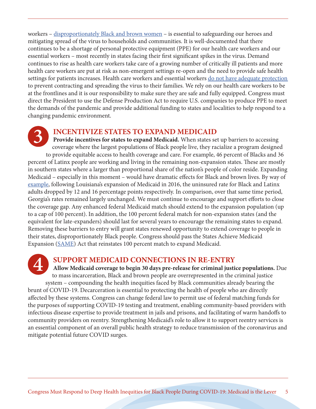workers – [disproportionately Black and brown women](https://www.epi.org/blog/cuts-to-the-state-and-local-public-sector-will-disproportionately-harm-women-and-black-workers/) – is essential to safeguarding our heroes and mitigating spread of the virus to households and communities. It is well-documented that there continues to be a shortage of personal protective equipment (PPE) for our health care workers and our essential workers – most recently in states facing their first significant spikes in the virus. Demand continues to rise as health care workers take care of a growing number of critically ill patients and more health care workers are put at risk as non-emergent settings re-open and the need to provide safe health settings for patients increases. Health care workers and essential workers [do not have adequate protection](https://www.washingtonpost.com/health/2020/07/08/ppe-shortage-masks-gloves-gowns/)  to prevent contracting and spreading the virus to their families. We rely on our health care workers to be at the frontlines and it is our responsibility to make sure they are safe and fully equipped. Congress must direct the President to use the Defense Production Act to require U.S. companies to produce PPE to meet the demands of the pandemic and provide additional funding to states and localities to help respond to a changing pandemic environment.

## **INCENTIVIZE STATES TO EXPAND MEDICAID**

**Provide incentives for states to expand Medicaid.** When states set up barriers to accessing coverage where the largest populations of Black people live, they racialize a program designed to provide equitable access to health coverage and care. For example, 46 percent of Blacks and 36 percent of Latinx people are working and living in the remaining non-expansion states. These are mostly in southern states where a larger than proportional share of the nation's people of color reside. Expanding Medicaid – especially in this moment – would have dramatic effects for Black and brown lives. By way of [example,](https://www.commonwealthfund.org/publications/2020/jan/how-ACA-narrowed-racial-ethnic-disparities-access) following Louisiana's expansion of Medicaid in 2016, the uninsured rate for Black and Latinx adults dropped by 12 and 16 percentage points respectively. In comparison, over that same time period, Georgia's rates remained largely unchanged. We must continue to encourage and support efforts to close the coverage gap. Any enhanced federal Medicaid match should extend to the expansion population (up to a cap of 100 percent). In addition, the 100 percent federal match for non-expansion states (and the equivalent for late-expanders) should last for several years to encourage the remaining states to expand. Removing these barriers to entry will grant states renewed opportunity to extend coverage to people in their states, disproportionately Black people. Congress should pass the States Achieve Medicaid Expansion ([SAME](https://www.congress.gov/bill/116th-congress/senate-bill/585)) Act that reinstates 100 percent match to expand Medicaid. **3**

**4**

#### **SUPPORT MEDICAID CONNECTIONS IN RE-ENTRY**

**Allow Medicaid coverage to begin 30 days pre-release for criminal justice populations.** Due to mass incarceration, Black and brown people are overrepresented in the criminal justice system – compounding the health inequities faced by Black communities already bearing the brunt of COVID-19. Decarceration is essential to protecting the health of people who are directly affected by these systems. Congress can change federal law to permit use of federal matching funds for the purposes of supporting COVID-19 testing and treatment, enabling community-based providers with infectious disease expertise to provide treatment in jails and prisons, and facilitating of warm handoffs to community providers on reentry. Strengthening Medicaid's role to allow it to support reentry services is an essential component of an overall public health strategy to reduce transmission of the coronavirus and mitigate potential future COVID surges.